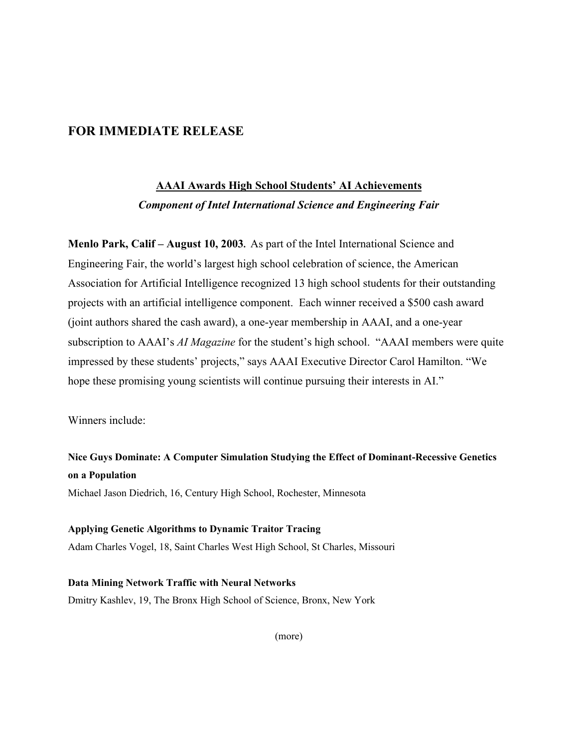## **FOR IMMEDIATE RELEASE**

# **AAAI Awards High School Students' AI Achievements** *Component of Intel International Science and Engineering Fair*

**Menlo Park, Calif – August 10, 2003.** As part of the Intel International Science and Engineering Fair, the world's largest high school celebration of science, the American Association for Artificial Intelligence recognized 13 high school students for their outstanding projects with an artificial intelligence component. Each winner received a \$500 cash award (joint authors shared the cash award), a one-year membership in AAAI, and a one-year subscription to AAAI's *AI Magazine* for the student's high school. "AAAI members were quite impressed by these students' projects," says AAAI Executive Director Carol Hamilton. "We hope these promising young scientists will continue pursuing their interests in AI."

Winners include:

**Nice Guys Dominate: A Computer Simulation Studying the Effect of Dominant-Recessive Genetics on a Population**

Michael Jason Diedrich, 16, Century High School, Rochester, Minnesota

### **Applying Genetic Algorithms to Dynamic Traitor Tracing**

Adam Charles Vogel, 18, Saint Charles West High School, St Charles, Missouri

**Data Mining Network Traffic with Neural Networks** Dmitry Kashlev, 19, The Bronx High School of Science, Bronx, New York

(more)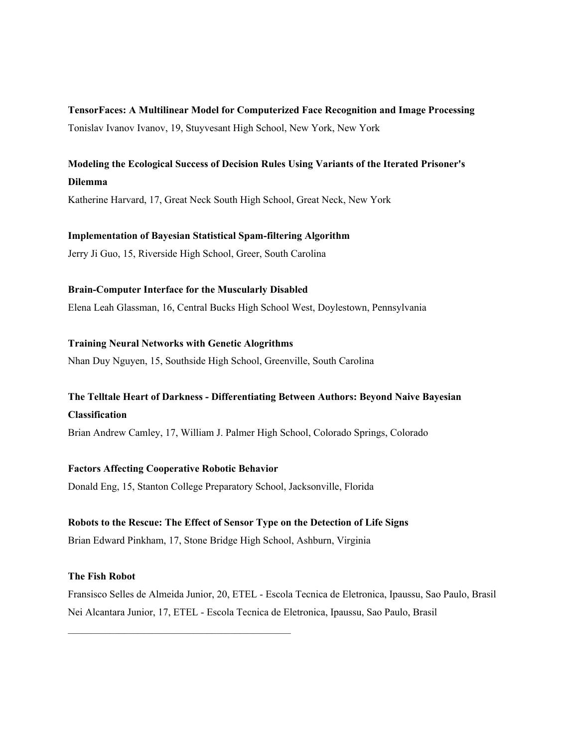**TensorFaces: A Multilinear Model for Computerized Face Recognition and Image Processing** Tonislav Ivanov Ivanov, 19, Stuyvesant High School, New York, New York

# **Modeling the Ecological Success of Decision Rules Using Variants of the Iterated Prisoner's Dilemma**

Katherine Harvard, 17, Great Neck South High School, Great Neck, New York

### **Implementation of Bayesian Statistical Spam-filtering Algorithm**

Jerry Ji Guo, 15, Riverside High School, Greer, South Carolina

### **Brain-Computer Interface for the Muscularly Disabled**

Elena Leah Glassman, 16, Central Bucks High School West, Doylestown, Pennsylvania

### **Training Neural Networks with Genetic Alogrithms**

Nhan Duy Nguyen, 15, Southside High School, Greenville, South Carolina

# **The Telltale Heart of Darkness - Differentiating Between Authors: Beyond Naive Bayesian Classification**

Brian Andrew Camley, 17, William J. Palmer High School, Colorado Springs, Colorado

### **Factors Affecting Cooperative Robotic Behavior**

 $\mathcal{L}_\text{max}$  and  $\mathcal{L}_\text{max}$  and  $\mathcal{L}_\text{max}$  and  $\mathcal{L}_\text{max}$  and  $\mathcal{L}_\text{max}$ 

Donald Eng, 15, Stanton College Preparatory School, Jacksonville, Florida

### **Robots to the Rescue: The Effect of Sensor Type on the Detection of Life Signs**

Brian Edward Pinkham, 17, Stone Bridge High School, Ashburn, Virginia

### **The Fish Robot**

Fransisco Selles de Almeida Junior, 20, ETEL - Escola Tecnica de Eletronica, Ipaussu, Sao Paulo, Brasil Nei Alcantara Junior, 17, ETEL - Escola Tecnica de Eletronica, Ipaussu, Sao Paulo, Brasil